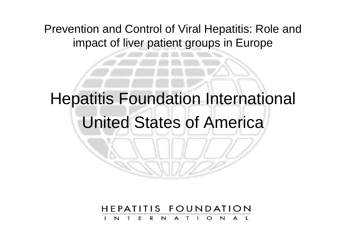Prevention and Control of Viral Hepatitis: Role and impact of liver patient groups in Europe

Hepatitis Foundation International

### United States of America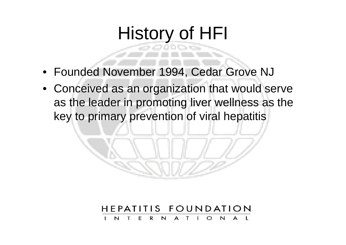# History of HFI

- Founded November 1994, Cedar Grove NJ
- Conceived as an organization that would serve as the leader in promoting liver wellness as the key to primary prevention of viral hepatitis

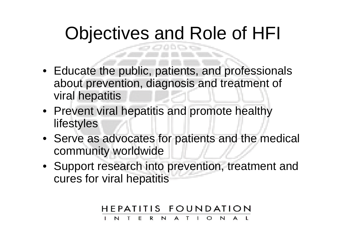# Objectives and Role of HFI

- Educate the public, patients, and professionals about prevention, diagnosis and treatment of viral hepatitis
- Prevent viral hepatitis and promote healthy lifestyles
- Serve as advocates for patients and the medical community worldwide
- Support research into prevention, treatment and cures for viral hepatitis

#### HEPATITIS FOUNDATION  $\mathsf{R}$ N<sub>1</sub>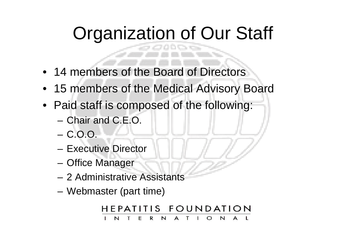# Organization of Our Staff

- 14 members of the Board of Directors
- 15 members of the Medical Advisory Board
- Paid staff is composed of the following:
	- Chair and C.E.O.
	- C.O.O.
	- Executive Director
	- Office Manager
	- 2 Administrative Assistants
	- Webmaster (part time)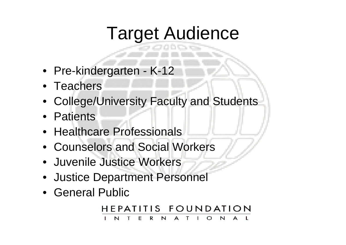## Target Audience

- Pre-kindergarten K-12
- Teachers
- College/University Faculty and Students
- Patients
- Healthcare Professionals
- Counselors and Social Workers
- Juvenile Justice Workers
- Justice Department Personnel
- General Public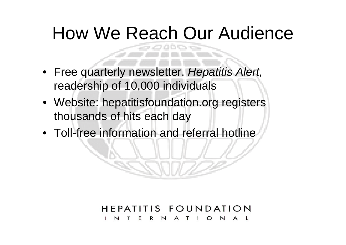# How We Reach Our Audience

- Free quarterly newsletter, *Hepatitis Alert,*  readership of 10,000 individuals
- Website: hepatitisfoundation.org registers thousands of hits each day
- Toll-free information and referral hotline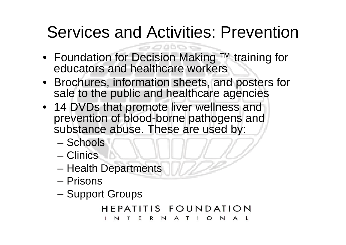## Services and Activities: Prevention

- Foundation for Decision Making ™ training for educators and healthcare workers
- Brochures, information sheets, and posters for sale to the public and healthcare agencies
- 14 DVDs that promote liver wellness and prevention of blood-borne pathogens and substance abuse. These are used by:
	- Schools
	- Clinics
	- Health Departments
	- Prisons
	- Support Groups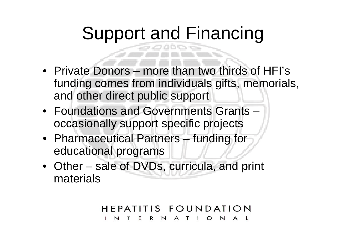# Support and Financing

- Private Donors more than two thirds of HFI's funding comes from individuals gifts, memorials, and other direct public support
- Foundations and Governments Grants occasionally support specific projects
- Pharmaceutical Partners funding for educational programs
- Other sale of DVDs, curricula, and print materials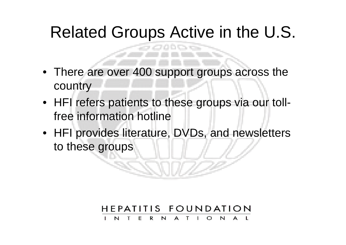## Related Groups Active in the U.S.

B Cardi

- There are over 400 support groups across the country
- HFI refers patients to these groups via our tollfree information hotline
- HFI provides literature, DVDs, and newsletters to these groups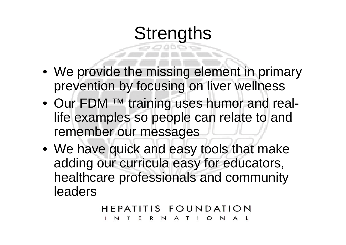## **Strengths**

- We provide the missing element in primary prevention by focusing on liver wellness
- Our FDM ™ training uses humor and reallife examples so people can relate to and remember our messages
- We have quick and easy tools that make adding our curricula easy for educators, healthcare professionals and community leaders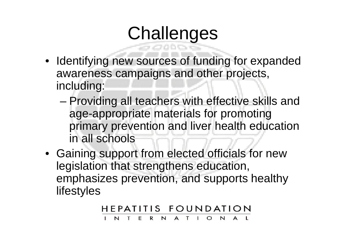# **Challenges**

- Identifying new sources of funding for expanded awareness campaigns and other projects, including:
	- Providing all teachers with effective skills and age-appropriate materials for promoting primary prevention and liver health education in all schools
- Gaining support from elected officials for new legislation that strengthens education, emphasizes prevention, and supports healthy lifestyles

HEPATITIS FOUNDATION N A T R